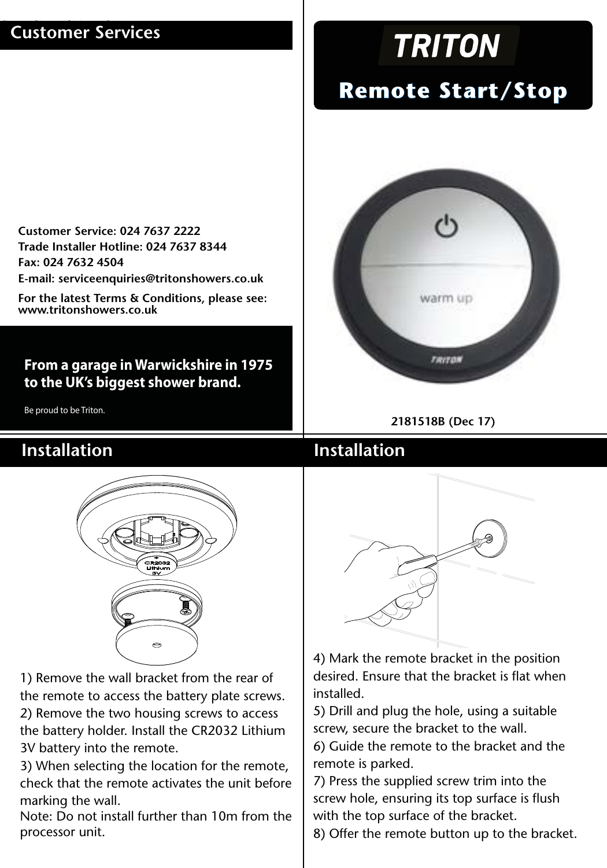### **Customer Services**

**Customer Service: 024 7637 2222 Trade Installer Hotline: 024 7637 8344 Fax: 024 7632 4504 E-mail: serviceenquiries@tritonshowers.co.uk**

**For the latest Terms & Conditions, please see: www.tritonshowers.co.uk**

### **From a garage in Warwickshire in 1975 to the UK's biggest shower brand.**

Be proud to be Triton.

# **TRITON**

# **Remote Start/Stop**



**2181518B (Dec 17)**

### SPECIFICATION **Installation Installation**



1) Remove the wall bracket from the rear of the remote to access the battery plate screws. 2) Remove the two housing screws to access the battery holder. Install the CR2032 Lithium 3V battery into the remote.

3) When selecting the location for the remote, check that the remote activates the unit before marking the wall.

Note: Do not install further than 10m from the processor unit.



4) Mark the remote bracket in the position desired. Ensure that the bracket is flat when installed.

5) Drill and plug the hole, using a suitable screw, secure the bracket to the wall.

6) Guide the remote to the bracket and the remote is parked.

7) Press the supplied screw trim into the screw hole, ensuring its top surface is flush with the top surface of the bracket.

8) Offer the remote button up to the bracket.